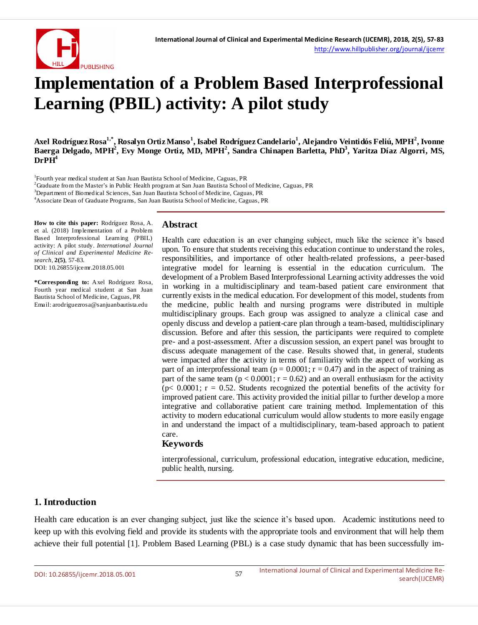

# **Implementation of a Problem Based Interprofessional Learning (PBIL) activity: A pilot study**

**Axel Rodríguez Rosa1,\*, Rosalyn Ortiz Manso<sup>1</sup> , Isabel Rodríguez Candelario<sup>1</sup> , Alejandro Veintidós Feliú, MPH<sup>2</sup> , Ivonne Baerga Delgado, MPH<sup>2</sup> , Evy Monge Ortiz, MD, MPH<sup>2</sup> , Sandra Chinapen Barletta, PhD<sup>3</sup> , Yaritza Díaz Algorri, MS, DrPH<sup>4</sup>**

<sup>1</sup>Fourth year medical student at San Juan Bautista School of Medicine, Caguas, PR Graduate from the Master's in Public Health program at San Juan Bautista School of Medicine, Caguas, PR Department of Biomedical Sciences, San Juan Bautista School of Medicine, Caguas, PR Associate Dean of Graduate Programs, San Juan Bautista School of Medicine, Caguas, PR

How to cite this paper: Rodr guez Rosa, A. et al. (2018) Implementation of a Problem Based Interprofessional Learning (PBIL) activity: A pilot study. *International Journal of Clinical and Experimental Medicine Research*, **2(5)**, 57-83. DOI: 10.26855/ijcemr.2018.05.001

**\*Corresponding to:** Axel Rodríguez Rosa, Fourth year medical student at San Juan Bautista School of Medicine, Caguas, PR Email: arodriguezrosa@sanjuanbautista.edu

#### **Abstract**

Health care education is an ever changing subject, much like the science it's based upon. To ensure that students receiving this education continue to understand the roles, responsibilities, and importance of other health-related professions, a peer-based integrative model for learning is essential in the education curriculum. The development of a Problem Based Interprofessional Learning activity addresses the void in working in a multidisciplinary and team-based patient care environment that currently exists in the medical education. For development of this model, students from the medicine, public health and nursing programs were distributed in multiple multidisciplinary groups. Each group was assigned to analyze a clinical case and openly discuss and develop a patient-care plan through a team-based, multidisciplinary discussion. Before and after this session, the participants were required to complete pre- and a post-assessment. After a discussion session, an expert panel was brought to discuss adequate management of the case. Results showed that, in general, students were impacted after the activity in terms of familiarity with the aspect of working as part of an interprofessional team ( $p = 0.0001$ ;  $r = 0.47$ ) and in the aspect of training as part of the same team ( $p < 0.0001$ ;  $r = 0.62$ ) and an overall enthusiasm for the activity  $(p< 0.0001$ ;  $r = 0.52$ . Students recognized the potential benefits of the activity for improved patient care. This activity provided the initial pillar to further develop a more integrative and collaborative patient care training method. Implementation of this activity to modern educational curriculum would allow students to more easily engage in and understand the impact of a multidisciplinary, team-based approach to patient care.

#### **Keywords**

interprofessional, curriculum, professional education, integrative education, medicine, public health, nursing.

#### **1. Introduction**

Health care education is an ever changing subject, just like the science it's based upon. Academic institutions need to keep up with this evolving field and provide its students with the appropriate tools and environment that will help them achieve their full potential [1]. Problem Based Learning (PBL) is a case study dynamic that has been successfully im-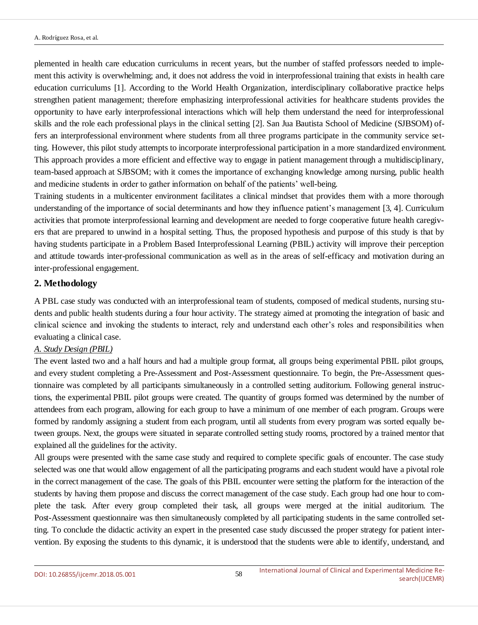plemented in health care education curriculums in recent years, but the number of staffed professors needed to implement this activity is overwhelming; and, it does not address the void in interprofessional training that exists in health care education curriculums [1]. According to the World Health Organization, interdisciplinary collaborative practice helps strengthen patient management; therefore emphasizing interprofessional activities for healthcare students provides the opportunity to have early interprofessional interactions which will help them understand the need for interprofessional skills and the role each professional plays in the clinical setting [2]. San Jua Bautista School of Medicine (SJBSOM) offers an interprofessional environment where students from all three programs participate in the community service setting. However, this pilot study attempts to incorporate interprofessional participation in a more standardized environment. This approach provides a more efficient and effective way to engage in patient management through a multidisciplinary, team-based approach at SJBSOM; with it comes the importance of exchanging knowledge among nursing, public health and medicine students in order to gather information on behalf of the patients' well-being.

Training students in a multicenter environment facilitates a clinical mindset that provides them with a more thorough understanding of the importance of social determinants and how they influence patient's management [3, 4]. Curriculum activities that promote interprofessional learning and development are needed to forge cooperative future health caregivers that are prepared to unwind in a hospital setting. Thus, the proposed hypothesis and purpose of this study is that by having students participate in a Problem Based Interprofessional Learning (PBIL) activity will improve their perception and attitude towards inter-professional communication as well as in the areas of self-efficacy and motivation during an inter-professional engagement.

#### **2. Methodology**

A PBL case study was conducted with an interprofessional team of students, composed of medical students, nursing students and public health students during a four hour activity. The strategy aimed at promoting the integration of basic and clinical science and invoking the students to interact, rely and understand each other's roles and responsibilities when evaluating a clinical case.

#### *A. Study Design (PBIL)*

The event lasted two and a half hours and had a multiple group format, all groups being experimental PBIL pilot groups, and every student completing a Pre-Assessment and Post-Assessment questionnaire. To begin, the Pre-Assessment questionnaire was completed by all participants simultaneously in a controlled setting auditorium. Following general instructions, the experimental PBIL pilot groups were created. The quantity of groups formed was determined by the number of attendees from each program, allowing for each group to have a minimum of one member of each program. Groups were formed by randomly assigning a student from each program, until all students from every program was sorted equally between groups. Next, the groups were situated in separate controlled setting study rooms, proctored by a trained mentor that explained all the guidelines for the activity.

All groups were presented with the same case study and required to complete specific goals of encounter. The case study selected was one that would allow engagement of all the participating programs and each student would have a pivotal role in the correct management of the case. The goals of this PBIL encounter were setting the platform for the interaction of the students by having them propose and discuss the correct management of the case study. Each group had one hour to complete the task*.* After every group completed their task, all groups were merged at the initial auditorium. The Post-Assessment questionnaire was then simultaneously completed by all participating students in the same controlled setting. To conclude the didactic activity an expert in the presented case study discussed the proper strategy for patient intervention. By exposing the students to this dynamic, it is understood that the students were able to identify, understand, and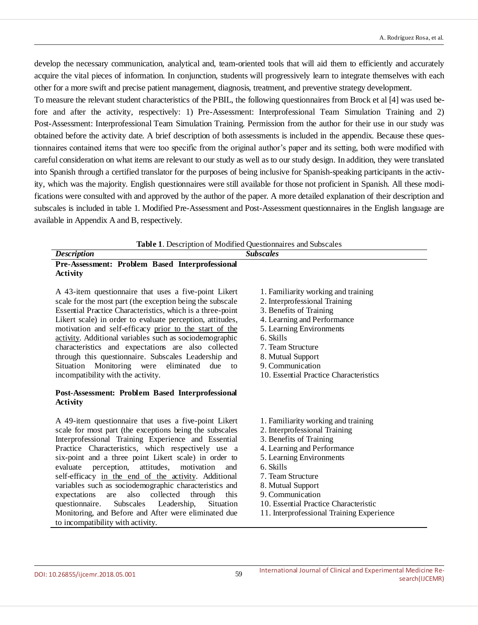develop the necessary communication, analytical and, team-oriented tools that will aid them to efficiently and accurately acquire the vital pieces of information. In conjunction, students will progressively learn to integrate themselves with each other for a more swift and precise patient management, diagnosis, treatment, and preventive strategy development.

To measure the relevant student characteristics of the PBIL, the following questionnaires from Brock et al [4] was used before and after the activity, respectively: 1) Pre-Assessment: Interprofessional Team Simulation Training and 2) Post-Assessment: Interprofessional Team Simulation Training. Permission from the author for their use in our study was obtained before the activity date. A brief description of both assessments is included in the appendix. Because these questionnaires contained items that were too specific from the original author's paper and its setting, both were modified with careful consideration on what items are relevant to our study as well as to our study design. In addition, they were translated into Spanish through a certified translator for the purposes of being inclusive for Spanish-speaking participants in the activity, which was the majority. English questionnaires were still available for those not proficient in Spanish. All these modifications were consulted with and approved by the author of the paper. A more detailed explanation of their description and subscales is included in table 1. Modified Pre-Assessment and Post-Assessment questionnaires in the English language are available in Appendix A and B, respectively.

|  |  | Table 1. Description of Modified Questionnaires and Subscales |  |  |
|--|--|---------------------------------------------------------------|--|--|
|--|--|---------------------------------------------------------------|--|--|

#### *Description Subscales* **Pre-Assessment: Problem Based Interprofessional Activity**

A 43-item questionnaire that uses a five-point Likert scale for the most part (the exception being the subscale Essential Practice Characteristics, which is a three-point Likert scale) in order to evaluate perception, attitudes, motivation and self-efficacy prior to the start of the activity. Additional variables such as sociodemographic characteristics and expectations are also collected through this questionnaire. Subscales Leadership and Situation Monitoring were eliminated due to incompatibility with the activity.

#### **Post-Assessment: Problem Based Interprofessional Activity**

A 49-item questionnaire that uses a five-point Likert scale for most part (the exceptions being the subscales Interprofessional Training Experience and Essential Practice Characteristics, which respectively use a six-point and a three point Likert scale) in order to evaluate perception, attitudes, motivation and self-efficacy in the end of the activity. Additional variables such as sociodemographic characteristics and expectations are also collected through this questionnaire. Subscales Leadership, Situation Monitoring, and Before and After were eliminated due to incompatibility with activity.

- 1. Familiarity working and training
- 2. Interprofessional Training
- 3. Benefits of Training
- 4. Learning and Performance
- 5. Learning Environments
- 6. Skills
- 7. Team Structure
- 8. Mutual Support
- 9. Communication
- 10. Essential Practice Characteristics
- 1. Familiarity working and training
- 2. Interprofessional Training
- 3. Benefits of Training
- 4. Learning and Performance
- 5. Learning Environments
- 6. Skills
- 7. Team Structure
- 8. Mutual Support
- 9. Communication
- 10. Essential Practice Characteristic
- 11. Interprofessional Training Experience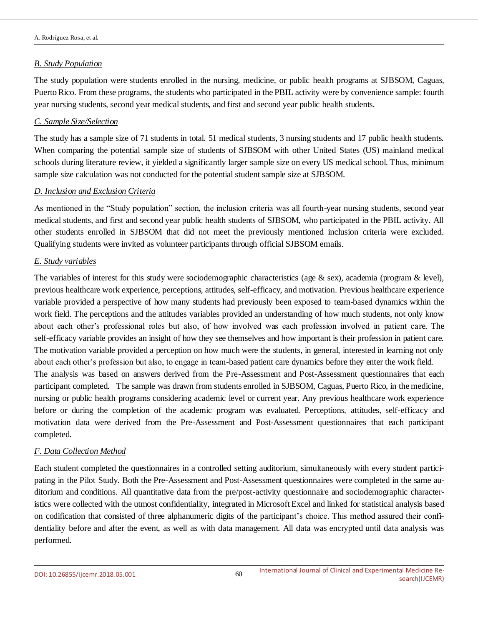#### *B. Study Population*

The study population were students enrolled in the nursing, medicine, or public health programs at SJBSOM, Caguas, Puerto Rico. From these programs, the students who participated in the PBIL activity were by convenience sample: fourth year nursing students, second year medical students, and first and second year public health students.

#### *C. Sample Size/Selection*

The study has a sample size of 71 students in total. 51 medical students, 3 nursing students and 17 public health students. When comparing the potential sample size of students of SJBSOM with other United States (US) mainland medical schools during literature review, it yielded a significantly larger sample size on every US medical school. Thus, minimum sample size calculation was not conducted for the potential student sample size at SJBSOM.

#### *D. Inclusion and Exclusion Criteria*

As mentioned in the "Study population" section, the inclusion criteria was all fourth-year nursing students, second year medical students, and first and second year public health students of SJBSOM, who participated in the PBIL activity. All other students enrolled in SJBSOM that did not meet the previously mentioned inclusion criteria were excluded. Qualifying students were invited as volunteer participants through official SJBSOM emails.

#### *E. Study variables*

The variables of interest for this study were sociodemographic characteristics (age  $\&$  sex), academia (program  $\&$  level), previous healthcare work experience, perceptions, attitudes, self-efficacy, and motivation. Previous healthcare experience variable provided a perspective of how many students had previously been exposed to team-based dynamics within the work field. The perceptions and the attitudes variables provided an understanding of how much students, not only know about each other's professional roles but also, of how involved was each profession involved in patient care. The self-efficacy variable provides an insight of how they see themselves and how important is their profession in patient care. The motivation variable provided a perception on how much were the students, in general, interested in learning not only about each other's profession but also, to engage in team-based patient care dynamics before they enter the work field. The analysis was based on answers derived from the Pre-Assessment and Post-Assessment questionnaires that each participant completed. The sample was drawn from students enrolled in SJBSOM, Caguas, Puerto Rico, in the medicine, nursing or public health programs considering academic level or current year. Any previous healthcare work experience before or during the completion of the academic program was evaluated. Perceptions, attitudes, self-efficacy and motivation data were derived from the Pre-Assessment and Post-Assessment questionnaires that each participant completed.

#### *F. Data Collection Method*

Each student completed the questionnaires in a controlled setting auditorium, simultaneously with every student participating in the Pilot Study. Both the Pre-Assessment and Post-Assessment questionnaires were completed in the same auditorium and conditions. All quantitative data from the pre/post-activity questionnaire and sociodemographic characteristics were collected with the utmost confidentiality, integrated in Microsoft Excel and linked for statistical analysis based on codification that consisted of three alphanumeric digits of the participant's choice. This method assured their confidentiality before and after the event, as well as with data management. All data was encrypted until data analysis was performed.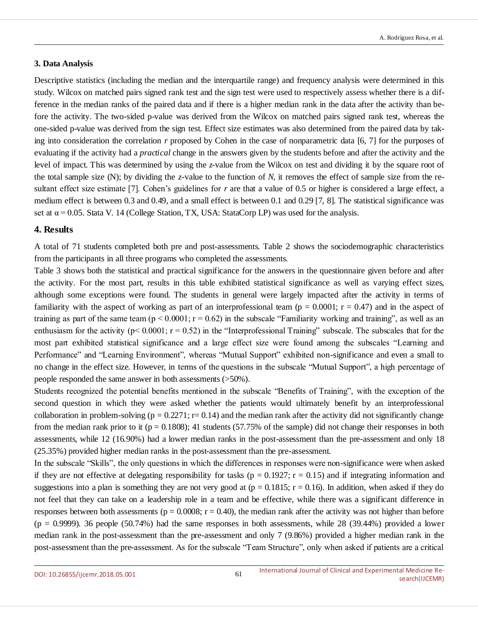#### **3. Data Analysis**

Descriptive statistics (including the median and the interquartile range) and frequency analysis were determined in this study. Wilcox on matched pairs signed rank test and the sign test were used to respectively assess whether there is a difference in the median ranks of the paired data and if there is a higher median rank in the data after the activity than before the activity. The two-sided p-value was derived from the Wilcox on matched pairs signed rank test, whereas the one-sided p-value was derived from the sign test. Effect size estimates was also determined from the paired data by taking into consideration the correlation *r* proposed by Cohen in the case of nonparametric data [6, 7] for the purposes of evaluating if the activity had a *practical* change in the answers given by the students before and after the activity and the level of impact. This was determined by using the *z*-value from the Wilcox on test and dividing it by the square root of the total sample size (N); by dividing the *z*-value to the function of *N,* it removes the effect of sample size from the resultant effect size estimate [7]. Cohen's guidelines for *r* are that a value of 0.5 or higher is considered a large effect, a medium effect is between 0.3 and 0.49, and a small effect is between 0.1 and 0.29 [7, 8]. The statistical significance was set at  $\alpha$  = 0.05. Stata V. 14 (College Station, TX, USA: StataCorp LP) was used for the analysis.

#### **4. Results**

A total of 71 students completed both pre and post-assessments. Table 2 shows the sociodemographic characteristics from the participants in all three programs who completed the assessments.

Table 3 shows both the statistical and practical significance for the answers in the questionnaire given before and after the activity. For the most part, results in this table exhibited statistical significance as well as varying effect sizes, although some exceptions were found. The students in general were largely impacted after the activity in terms of familiarity with the aspect of working as part of an interprofessional team ( $p = 0.0001$ ;  $r = 0.47$ ) and in the aspect of training as part of the same team ( $p < 0.0001$ ;  $r = 0.62$ ) in the subscale "Familiarity working and training", as well as an enthusiasm for the activity ( $p < 0.0001$ ;  $r = 0.52$ ) in the "Interprofessional Training" subscale. The subscales that for the most part exhibited statistical significance and a large effect size were found among the subscales "Learning and Performance" and "Learning Environment", whereas "Mutual Support" exhibited non-significance and even a small to no change in the effect size. However, in terms of the questions in the subscale "Mutual Support", a high percentage of people responded the same answer in both assessments (>50%).

Students recognized the potential benefits mentioned in the subscale "Benefits of Training", with the exception of the second question in which they were asked whether the patients would ultimately benefit by an interprofessional collaboration in problem-solving ( $p = 0.2271$ ;  $r = 0.14$ ) and the median rank after the activity did not significantly change from the median rank prior to it ( $p = 0.1808$ ); 41 students (57.75% of the sample) did not change their responses in both assessments, while 12 (16.90%) had a lower median ranks in the post-assessment than the pre-assessment and only 18 (25.35%) provided higher median ranks in the post-assessment than the pre-assessment.

In the subscale "Skills", the only questions in which the differences in responses were non-significance were when asked if they are not effective at delegating responsibility for tasks ( $p = 0.1927$ ;  $r = 0.15$ ) and if integrating information and suggestions into a plan is something they are not very good at  $(p = 0.1815; r = 0.16)$ . In addition, when asked if they do not feel that they can take on a leadership role in a team and be effective, while there was a significant difference in responses between both assessments ( $p = 0.0008$ ;  $r = 0.40$ ), the median rank after the activity was not higher than before  $(p = 0.9999)$ . 36 people (50.74%) had the same responses in both assessments, while 28 (39.44%) provided a lower median rank in the post-assessment than the pre-assessment and only 7 (9.86%) provided a higher median rank in the post-assessment than the pre-assessment. As for the subscale "Team Structure", only when asked if patients are a critical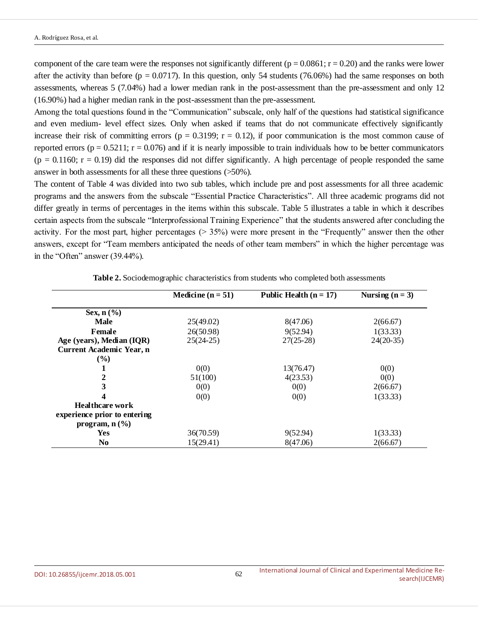component of the care team were the responses not significantly different ( $p = 0.0861$ ;  $r = 0.20$ ) and the ranks were lower after the activity than before ( $p = 0.0717$ ). In this question, only 54 students (76.06%) had the same responses on both assessments, whereas 5 (7.04%) had a lower median rank in the post-assessment than the pre-assessment and only 12 (16.90%) had a higher median rank in the post-assessment than the pre-assessment.

Among the total questions found in the "Communication" subscale, only half of the questions had statistical significance and even medium- level effect sizes. Only when asked if teams that do not communicate effectively significantly increase their risk of committing errors ( $p = 0.3199$ ;  $r = 0.12$ ), if poor communication is the most common cause of reported errors ( $p = 0.5211$ ;  $r = 0.076$ ) and if it is nearly impossible to train individuals how to be better communicators  $(p = 0.1160; r = 0.19)$  did the responses did not differ significantly. A high percentage of people responded the same answer in both assessments for all these three questions (>50%).

The content of Table 4 was divided into two sub tables, which include pre and post assessments for all three academic programs and the answers from the subscale "Essential Practice Characteristics". All three academic programs did not differ greatly in terms of percentages in the items within this subscale. Table 5 illustrates a table in which it describes certain aspects from the subscale "Interprofessional Training Experience" that the students answered after concluding the activity. For the most part, higher percentages ( $>$  35%) were more present in the "Frequently" answer then the other answers, except for "Team members anticipated the needs of other team members" in which the higher percentage was in the "Often" answer (39.44%).

|                              | Medicine $(n = 51)$ | Public Health $(n = 17)$ | Nursing $(n = 3)$ |
|------------------------------|---------------------|--------------------------|-------------------|
|                              |                     |                          |                   |
| Sex, $n$ (%)                 |                     |                          |                   |
| Male                         | 25(49.02)           | 8(47.06)                 | 2(66.67)          |
| <b>Female</b>                | 26(50.98)           | 9(52.94)                 | 1(33.33)          |
| Age (years), Median (IQR)    | $25(24-25)$         | $27(25-28)$              | $24(20-35)$       |
| Current Academic Year, n     |                     |                          |                   |
| $\frac{6}{2}$                |                     |                          |                   |
|                              | 0(0)                | 13(76.47)                | 0(0)              |
| 2                            | 51(100)             | 4(23.53)                 | 0(0)              |
| 3                            | 0(0)                | 0(0)                     | 2(66.67)          |
|                              | 0(0)                | 0(0)                     | 1(33.33)          |
| <b>Healthcare work</b>       |                     |                          |                   |
| experience prior to entering |                     |                          |                   |
| program, $n$ $(\frac{9}{6})$ |                     |                          |                   |
| <b>Yes</b>                   | 36(70.59)           | 9(52.94)                 | 1(33.33)          |
| N <sub>0</sub>               | 15(29.41)           | 8(47.06)                 | 2(66.67)          |

**Table 2.** Sociodemographic characteristics from students who completed both assessments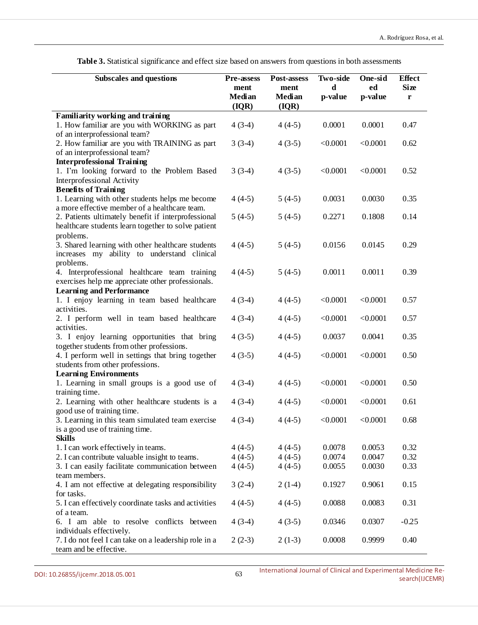| <b>Subscales and questions</b>                                                  | Pre-assess | Post-assess | <b>Two-side</b> | One-sid  | <b>Effect</b> |
|---------------------------------------------------------------------------------|------------|-------------|-----------------|----------|---------------|
|                                                                                 | ment       | ment        | d               | ed       | <b>Size</b>   |
|                                                                                 | Median     | Median      | p-value         | p-value  | r             |
|                                                                                 | (IQR)      | (IQR)       |                 |          |               |
| Familiarity working and training                                                |            |             |                 |          |               |
| 1. How familiar are you with WORKING as part                                    | $4(3-4)$   | $4(4-5)$    | 0.0001          | 0.0001   | 0.47          |
| of an interprofessional team?<br>2. How familiar are you with TRAINING as part  | $3(3-4)$   | $4(3-5)$    | < 0.0001        | < 0.0001 | 0.62          |
| of an interprofessional team?                                                   |            |             |                 |          |               |
| <b>Interprofessional Training</b>                                               |            |             |                 |          |               |
| 1. I'm looking forward to the Problem Based                                     | $3(3-4)$   | $4(3-5)$    | < 0.0001        | < 0.0001 | 0.52          |
| Interprofessional Activity                                                      |            |             |                 |          |               |
| <b>Benefits of Training</b>                                                     |            |             |                 |          |               |
| 1. Learning with other students helps me become                                 | $4(4-5)$   | $5(4-5)$    | 0.0031          | 0.0030   | 0.35          |
| a more effective member of a healthcare team.                                   |            |             |                 |          |               |
| 2. Patients ultimately benefit if interprofessional                             | $5(4-5)$   | $5(4-5)$    | 0.2271          | 0.1808   | 0.14          |
| healthcare students learn together to solve patient                             |            |             |                 |          |               |
| problems.                                                                       |            |             |                 |          |               |
| 3. Shared learning with other healthcare students                               | $4(4-5)$   | $5(4-5)$    | 0.0156          | 0.0145   | 0.29          |
| increases my ability to understand clinical                                     |            |             |                 |          |               |
| problems.                                                                       |            |             |                 |          |               |
| 4. Interprofessional healthcare team training                                   | $4(4-5)$   | $5(4-5)$    | 0.0011          | 0.0011   | 0.39          |
| exercises help me appreciate other professionals.                               |            |             |                 |          |               |
| <b>Learning and Performance</b><br>1. I enjoy learning in team based healthcare | $4(3-4)$   | $4(4-5)$    | < 0.0001        | < 0.0001 | 0.57          |
| activities.                                                                     |            |             |                 |          |               |
| 2. I perform well in team based healthcare                                      | $4(3-4)$   | $4(4-5)$    | < 0.0001        | < 0.0001 | 0.57          |
| activities.                                                                     |            |             |                 |          |               |
| 3. I enjoy learning opportunities that bring                                    | $4(3-5)$   | $4(4-5)$    | 0.0037          | 0.0041   | 0.35          |
| together students from other professions.                                       |            |             |                 |          |               |
| 4. I perform well in settings that bring together                               | $4(3-5)$   | $4(4-5)$    | < 0.0001        | < 0.0001 | 0.50          |
| students from other professions.                                                |            |             |                 |          |               |
| <b>Learning Environments</b>                                                    |            |             |                 |          |               |
| 1. Learning in small groups is a good use of                                    | $4(3-4)$   | $4(4-5)$    | < 0.0001        | < 0.0001 | 0.50          |
| training time.                                                                  |            |             |                 |          |               |
| 2. Learning with other healthcare students is a                                 | $4(3-4)$   | $4(4-5)$    | < 0.0001        | < 0.0001 | 0.61          |
| good use of training time.                                                      |            |             |                 |          |               |
| 3. Learning in this team simulated team exercise                                | $4(3-4)$   | $4(4-5)$    | < 0.0001        | < 0.0001 | 0.68          |
| is a good use of training time.<br><b>Skills</b>                                |            |             |                 |          |               |
| 1. I can work effectively in teams.                                             | $4(4-5)$   | $4(4-5)$    | 0.0078          | 0.0053   | 0.32          |
| 2. I can contribute valuable insight to teams.                                  | $4(4-5)$   | $4(4-5)$    | 0.0074          | 0.0047   | 0.32          |
| 3. I can easily facilitate communication between                                | $4(4-5)$   | $4(4-5)$    | 0.0055          | 0.0030   | 0.33          |
| team members.                                                                   |            |             |                 |          |               |
| 4. I am not effective at delegating responsibility                              | $3(2-4)$   | $2(1-4)$    | 0.1927          | 0.9061   | 0.15          |
| for tasks.                                                                      |            |             |                 |          |               |
| 5. I can effectively coordinate tasks and activities                            | $4(4-5)$   | $4(4-5)$    | 0.0088          | 0.0083   | 0.31          |
| of a team.                                                                      |            |             |                 |          |               |
| 6. I am able to resolve conflicts between                                       | $4(3-4)$   | $4(3-5)$    | 0.0346          | 0.0307   | $-0.25$       |
| individuals effectively.                                                        |            |             |                 |          |               |
| 7. I do not feel I can take on a leadership role in a                           | $2(2-3)$   | $2(1-3)$    | 0.0008          | 0.9999   | 0.40          |
| team and be effective.                                                          |            |             |                 |          |               |

**Table 3.** Statistical significance and effect size based on answers from questions in both assessments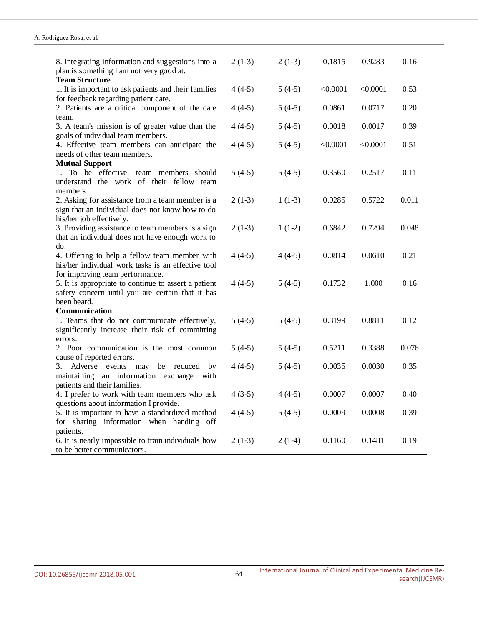| 8. Integrating information and suggestions into a<br>plan is something I am not very good at.   | $2(1-3)$ | $2(1-3)$ | 0.1815   | 0.9283   | 0.16  |
|-------------------------------------------------------------------------------------------------|----------|----------|----------|----------|-------|
| <b>Team Structure</b>                                                                           |          |          |          |          |       |
| 1. It is important to ask patients and their families<br>for feedback regarding patient care.   | $4(4-5)$ | $5(4-5)$ | < 0.0001 | < 0.0001 | 0.53  |
| 2. Patients are a critical component of the care                                                | $4(4-5)$ | $5(4-5)$ | 0.0861   | 0.0717   | 0.20  |
| team.<br>3. A team's mission is of greater value than the                                       | $4(4-5)$ | $5(4-5)$ | 0.0018   | 0.0017   | 0.39  |
| goals of individual team members.<br>4. Effective team members can anticipate the               | $4(4-5)$ | $5(4-5)$ | < 0.0001 | < 0.0001 | 0.51  |
| needs of other team members.                                                                    |          |          |          |          |       |
| <b>Mutual Support</b>                                                                           |          |          |          |          |       |
| 1. To be effective, team members should<br>understand the work of their fellow team<br>members. | $5(4-5)$ | $5(4-5)$ | 0.3560   | 0.2517   | 0.11  |
| 2. Asking for assistance from a team member is a                                                | $2(1-3)$ | $1(1-3)$ | 0.9285   | 0.5722   | 0.011 |
| sign that an individual does not know how to do                                                 |          |          |          |          |       |
| his/her job effectively.                                                                        |          |          |          |          |       |
| 3. Providing assistance to team members is a sign                                               | $2(1-3)$ | $1(1-2)$ | 0.6842   | 0.7294   | 0.048 |
| that an individual does not have enough work to                                                 |          |          |          |          |       |
| do.                                                                                             |          |          |          |          |       |
| 4. Offering to help a fellow team member with                                                   | $4(4-5)$ | $4(4-5)$ | 0.0814   | 0.0610   | 0.21  |
| his/her individual work tasks is an effective tool                                              |          |          |          |          |       |
| for improving team performance.                                                                 |          |          |          |          |       |
| 5. It is appropriate to continue to assert a patient                                            | $4(4-5)$ | $5(4-5)$ | 0.1732   | 1.000    | 0.16  |
| safety concern until you are certain that it has                                                |          |          |          |          |       |
| been heard.                                                                                     |          |          |          |          |       |
| Communication                                                                                   |          |          |          |          |       |
| 1. Teams that do not communicate effectively,                                                   | $5(4-5)$ | $5(4-5)$ | 0.3199   | 0.8811   | 0.12  |
| significantly increase their risk of committing                                                 |          |          |          |          |       |
| errors.                                                                                         |          |          |          |          |       |
| 2. Poor communication is the most common                                                        | $5(4-5)$ | $5(4-5)$ | 0.5211   | 0.3388   | 0.076 |
| cause of reported errors.                                                                       |          |          |          |          |       |
| Adverse events may be reduced<br>3.<br>by                                                       | $4(4-5)$ | $5(4-5)$ | 0.0035   | 0.0030   | 0.35  |
| maintaining an information exchange<br>with                                                     |          |          |          |          |       |
| patients and their families.                                                                    |          |          |          |          |       |
| 4. I prefer to work with team members who ask                                                   | $4(3-5)$ | $4(4-5)$ | 0.0007   | 0.0007   | 0.40  |
| questions about information I provide.                                                          |          |          |          |          |       |
| 5. It is important to have a standardized method                                                | $4(4-5)$ | $5(4-5)$ | 0.0009   | 0.0008   | 0.39  |
| for sharing information when handing off                                                        |          |          |          |          |       |
| patients.                                                                                       |          |          |          |          |       |
| 6. It is nearly impossible to train individuals how                                             | $2(1-3)$ | $2(1-4)$ | 0.1160   | 0.1481   | 0.19  |
| to be better communicators.                                                                     |          |          |          |          |       |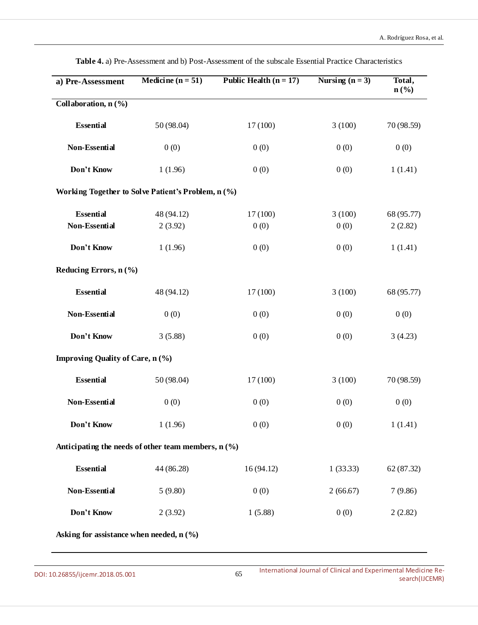| a) Pre-Assessment                                   | Medicine ( $n = 51$ )                              | Public Health $(n = 17)$ | Nursing $(n = 3)$ | Total,<br>$n\left(\frac{0}{0}\right)$ |  |  |  |  |
|-----------------------------------------------------|----------------------------------------------------|--------------------------|-------------------|---------------------------------------|--|--|--|--|
| Collaboration, n (%)                                |                                                    |                          |                   |                                       |  |  |  |  |
| <b>Essential</b>                                    | 50 (98.04)                                         | 17(100)                  | 3(100)            | 70 (98.59)                            |  |  |  |  |
| Non-Essential                                       | 0(0)                                               | 0(0)                     | 0(0)              | 0(0)                                  |  |  |  |  |
| Don't Know                                          | 1(1.96)                                            | 0(0)                     | 0(0)              | 1(1.41)                               |  |  |  |  |
|                                                     | Working Together to Solve Patient's Problem, n (%) |                          |                   |                                       |  |  |  |  |
| <b>Essential</b>                                    | 48 (94.12)                                         | 17(100)                  | 3(100)            | 68 (95.77)                            |  |  |  |  |
| Non-Essential                                       | 2(3.92)                                            | 0(0)                     | 0(0)              | 2(2.82)                               |  |  |  |  |
| Don't Know                                          | 1(1.96)                                            | 0(0)                     | 0(0)              | 1(1.41)                               |  |  |  |  |
| Reducing Errors, n (%)                              |                                                    |                          |                   |                                       |  |  |  |  |
| <b>Essential</b>                                    | 48 (94.12)                                         | 17(100)                  | 3(100)            | 68 (95.77)                            |  |  |  |  |
| Non-Essential                                       | 0(0)                                               | 0(0)                     | 0(0)              | 0(0)                                  |  |  |  |  |
| Don't Know                                          | 3(5.88)                                            | 0(0)                     | 0(0)              | 3(4.23)                               |  |  |  |  |
| <b>Improving Quality of Care, n (%)</b>             |                                                    |                          |                   |                                       |  |  |  |  |
| <b>Essential</b>                                    | 50 (98.04)                                         | 17(100)                  | 3(100)            | 70 (98.59)                            |  |  |  |  |
| Non-Essential                                       | 0(0)                                               | 0(0)                     | 0(0)              | 0(0)                                  |  |  |  |  |
| Don't Know                                          | 1(1.96)                                            | 0(0)                     | 0(0)              | 1(1.41)                               |  |  |  |  |
| Anticipating the needs of other team members, n (%) |                                                    |                          |                   |                                       |  |  |  |  |
| <b>Essential</b>                                    | 44 (86.28)                                         | 16(94.12)                | 1(33.33)          | 62 (87.32)                            |  |  |  |  |
| Non-Essential                                       | 5(9.80)                                            | 0(0)                     | 2(66.67)          | 7(9.86)                               |  |  |  |  |
| Don't Know                                          | 2(3.92)                                            | 1(5.88)                  | 0(0)              | 2(2.82)                               |  |  |  |  |
| Asking for assistance when needed, n (%)            |                                                    |                          |                   |                                       |  |  |  |  |

**Table 4.** a) Pre-Assessment and b) Post-Assessment of the subscale Essential Practice Characteristics

DOI: 10.26855/ijcemr.2018.05.001 65 International Journal of Clinical and Experimental Medicine Research(IJCEMR)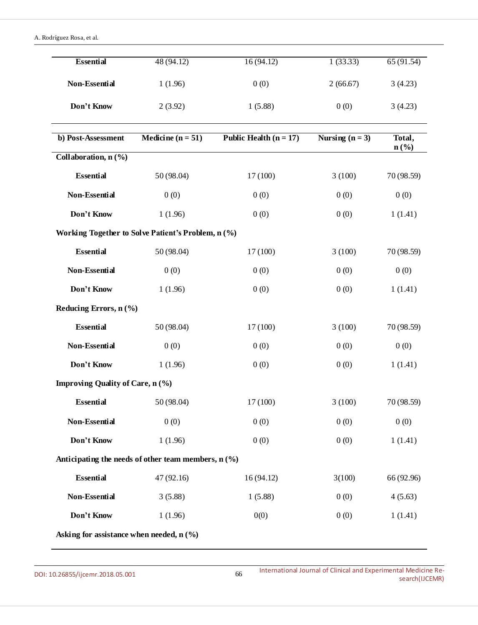A. Rodr guez Rosa, et al.

| Non-Essential<br>0(0)<br>2(66.67)<br>1(1.96)<br>3(4.23)<br>Don't Know<br>1(5.88)<br>0(0)<br>3(4.23)<br>2(3.92)<br>Medicine $(n = 51)$<br>Public Health $(n = 17)$<br>Nursing $(n = 3)$<br>Total,<br>b) Post-Assessment<br>$n\left(\frac{0}{0}\right)$<br>Collaboration, n (%)<br><b>Essential</b><br>50 (98.04)<br>17(100)<br>3(100)<br>Non-Essential<br>0(0)<br>0(0)<br>0(0)<br>0(0)<br>Don't Know<br>0(0)<br>0(0)<br>1(1.96)<br>1(1.41)<br>Working Together to Solve Patient's Problem, n (%)<br><b>Essential</b><br>50 (98.04)<br>17(100)<br>3(100)<br>Non-Essential<br>0(0)<br>0(0)<br>0(0)<br>0(0)<br>Don't Know<br>1(1.96)<br>0(0)<br>0(0)<br>1(1.41)<br>Reducing Errors, n (%)<br><b>Essential</b><br>50 (98.04)<br>17(100)<br>3(100)<br>Non-Essential<br>0(0)<br>0(0)<br>0(0)<br>0(0)<br>Don't Know<br>1(1.96)<br>0(0)<br>0(0)<br>1(1.41)<br>Improving Quality of Care, n (%)<br><b>Essential</b><br>50 (98.04)<br>17(100)<br>3(100)<br>Non-Essential<br>0(0)<br>0(0)<br>0(0)<br>0(0)<br>Don't Know<br>0(0)<br>0(0)<br>1(1.96)<br>1(1.41)<br>Anticipating the needs of other team members, $n$ (%)<br><b>Essential</b><br>47(92.16)<br>16(94.12)<br>3(100)<br>Non-Essential<br>3(5.88)<br>1(5.88)<br>0(0)<br>4(5.63)<br>Don't Know<br>0(0)<br>0(0)<br>1(1.96)<br>1(1.41)<br>Asking for assistance when needed, $n$ (%) | <b>Essential</b> | 48 (94.12) | 16(94.12) | 1(33.33) | 65 (91.54) |
|--------------------------------------------------------------------------------------------------------------------------------------------------------------------------------------------------------------------------------------------------------------------------------------------------------------------------------------------------------------------------------------------------------------------------------------------------------------------------------------------------------------------------------------------------------------------------------------------------------------------------------------------------------------------------------------------------------------------------------------------------------------------------------------------------------------------------------------------------------------------------------------------------------------------------------------------------------------------------------------------------------------------------------------------------------------------------------------------------------------------------------------------------------------------------------------------------------------------------------------------------------------------------------------------------------------------------------|------------------|------------|-----------|----------|------------|
|                                                                                                                                                                                                                                                                                                                                                                                                                                                                                                                                                                                                                                                                                                                                                                                                                                                                                                                                                                                                                                                                                                                                                                                                                                                                                                                                |                  |            |           |          |            |
|                                                                                                                                                                                                                                                                                                                                                                                                                                                                                                                                                                                                                                                                                                                                                                                                                                                                                                                                                                                                                                                                                                                                                                                                                                                                                                                                |                  |            |           |          |            |
|                                                                                                                                                                                                                                                                                                                                                                                                                                                                                                                                                                                                                                                                                                                                                                                                                                                                                                                                                                                                                                                                                                                                                                                                                                                                                                                                |                  |            |           |          |            |
|                                                                                                                                                                                                                                                                                                                                                                                                                                                                                                                                                                                                                                                                                                                                                                                                                                                                                                                                                                                                                                                                                                                                                                                                                                                                                                                                |                  |            |           |          |            |
|                                                                                                                                                                                                                                                                                                                                                                                                                                                                                                                                                                                                                                                                                                                                                                                                                                                                                                                                                                                                                                                                                                                                                                                                                                                                                                                                |                  |            |           |          |            |
|                                                                                                                                                                                                                                                                                                                                                                                                                                                                                                                                                                                                                                                                                                                                                                                                                                                                                                                                                                                                                                                                                                                                                                                                                                                                                                                                |                  |            |           |          | 70 (98.59) |
|                                                                                                                                                                                                                                                                                                                                                                                                                                                                                                                                                                                                                                                                                                                                                                                                                                                                                                                                                                                                                                                                                                                                                                                                                                                                                                                                |                  |            |           |          |            |
|                                                                                                                                                                                                                                                                                                                                                                                                                                                                                                                                                                                                                                                                                                                                                                                                                                                                                                                                                                                                                                                                                                                                                                                                                                                                                                                                |                  |            |           |          |            |
|                                                                                                                                                                                                                                                                                                                                                                                                                                                                                                                                                                                                                                                                                                                                                                                                                                                                                                                                                                                                                                                                                                                                                                                                                                                                                                                                |                  |            |           |          |            |
|                                                                                                                                                                                                                                                                                                                                                                                                                                                                                                                                                                                                                                                                                                                                                                                                                                                                                                                                                                                                                                                                                                                                                                                                                                                                                                                                |                  |            |           |          | 70 (98.59) |
|                                                                                                                                                                                                                                                                                                                                                                                                                                                                                                                                                                                                                                                                                                                                                                                                                                                                                                                                                                                                                                                                                                                                                                                                                                                                                                                                |                  |            |           |          |            |
|                                                                                                                                                                                                                                                                                                                                                                                                                                                                                                                                                                                                                                                                                                                                                                                                                                                                                                                                                                                                                                                                                                                                                                                                                                                                                                                                |                  |            |           |          |            |
|                                                                                                                                                                                                                                                                                                                                                                                                                                                                                                                                                                                                                                                                                                                                                                                                                                                                                                                                                                                                                                                                                                                                                                                                                                                                                                                                |                  |            |           |          |            |
|                                                                                                                                                                                                                                                                                                                                                                                                                                                                                                                                                                                                                                                                                                                                                                                                                                                                                                                                                                                                                                                                                                                                                                                                                                                                                                                                |                  |            |           |          | 70 (98.59) |
|                                                                                                                                                                                                                                                                                                                                                                                                                                                                                                                                                                                                                                                                                                                                                                                                                                                                                                                                                                                                                                                                                                                                                                                                                                                                                                                                |                  |            |           |          |            |
|                                                                                                                                                                                                                                                                                                                                                                                                                                                                                                                                                                                                                                                                                                                                                                                                                                                                                                                                                                                                                                                                                                                                                                                                                                                                                                                                |                  |            |           |          |            |
|                                                                                                                                                                                                                                                                                                                                                                                                                                                                                                                                                                                                                                                                                                                                                                                                                                                                                                                                                                                                                                                                                                                                                                                                                                                                                                                                |                  |            |           |          |            |
|                                                                                                                                                                                                                                                                                                                                                                                                                                                                                                                                                                                                                                                                                                                                                                                                                                                                                                                                                                                                                                                                                                                                                                                                                                                                                                                                |                  |            |           |          | 70 (98.59) |
|                                                                                                                                                                                                                                                                                                                                                                                                                                                                                                                                                                                                                                                                                                                                                                                                                                                                                                                                                                                                                                                                                                                                                                                                                                                                                                                                |                  |            |           |          |            |
|                                                                                                                                                                                                                                                                                                                                                                                                                                                                                                                                                                                                                                                                                                                                                                                                                                                                                                                                                                                                                                                                                                                                                                                                                                                                                                                                |                  |            |           |          |            |
|                                                                                                                                                                                                                                                                                                                                                                                                                                                                                                                                                                                                                                                                                                                                                                                                                                                                                                                                                                                                                                                                                                                                                                                                                                                                                                                                |                  |            |           |          |            |
|                                                                                                                                                                                                                                                                                                                                                                                                                                                                                                                                                                                                                                                                                                                                                                                                                                                                                                                                                                                                                                                                                                                                                                                                                                                                                                                                |                  |            |           |          | 66 (92.96) |
|                                                                                                                                                                                                                                                                                                                                                                                                                                                                                                                                                                                                                                                                                                                                                                                                                                                                                                                                                                                                                                                                                                                                                                                                                                                                                                                                |                  |            |           |          |            |
|                                                                                                                                                                                                                                                                                                                                                                                                                                                                                                                                                                                                                                                                                                                                                                                                                                                                                                                                                                                                                                                                                                                                                                                                                                                                                                                                |                  |            |           |          |            |
|                                                                                                                                                                                                                                                                                                                                                                                                                                                                                                                                                                                                                                                                                                                                                                                                                                                                                                                                                                                                                                                                                                                                                                                                                                                                                                                                |                  |            |           |          |            |

DOI: 10.26855/ijcemr.2018.05.001 <sup>66</sup> International Journal of Clinical and Experimental Medicine Re-search(IJCEMR)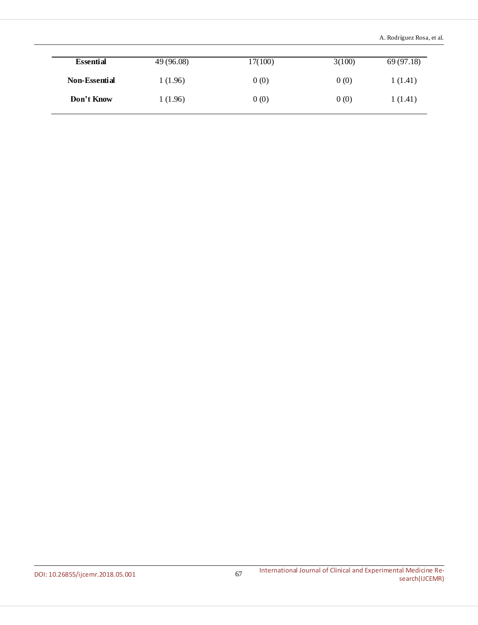A. Rodr guez Rosa, et al.

| <b>Essential</b>     | 49 (96.08) | 17(100) | 3(100) | 69 (97.18) |
|----------------------|------------|---------|--------|------------|
| <b>Non-Essential</b> | 1 (1.96)   | 0(0)    | 0(0)   | 1(1.41)    |
| Don't Know           | 1 (1.96)   | 0(0)    | 0(0)   | 1(1.41)    |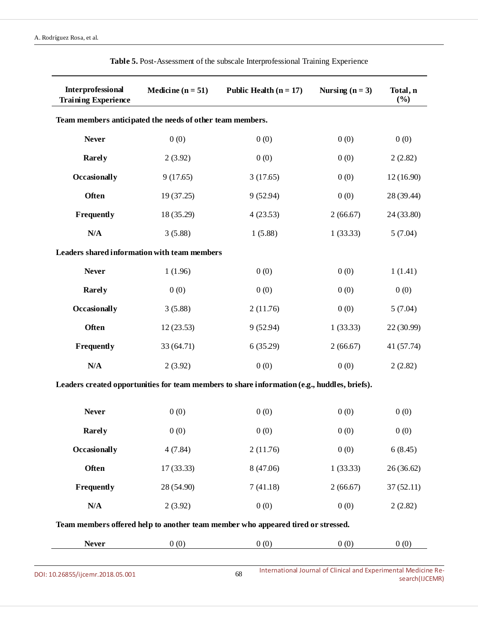| Interprofessional<br><b>Training Experience</b>                                              | Medicine $(n = 51)$ | Public Health $(n = 17)$                                                         | Nursing $(n = 3)$ | Total, n<br>(%) |  |  |  |  |
|----------------------------------------------------------------------------------------------|---------------------|----------------------------------------------------------------------------------|-------------------|-----------------|--|--|--|--|
| Team members anticipated the needs of other team members.                                    |                     |                                                                                  |                   |                 |  |  |  |  |
| <b>Never</b>                                                                                 | 0(0)                | 0(0)                                                                             | 0(0)              | 0(0)            |  |  |  |  |
| <b>Rarely</b>                                                                                | 2(3.92)             | 0(0)                                                                             | 0(0)              | 2(2.82)         |  |  |  |  |
| <b>Occasionally</b>                                                                          | 9(17.65)            | 3(17.65)                                                                         | 0(0)              | 12 (16.90)      |  |  |  |  |
| Often                                                                                        | 19 (37.25)          | 9 (52.94)                                                                        | 0(0)              | 28 (39.44)      |  |  |  |  |
| <b>Frequently</b>                                                                            | 18 (35.29)          | 4(23.53)                                                                         | 2(66.67)          | 24 (33.80)      |  |  |  |  |
| N/A                                                                                          | 3(5.88)             | 1(5.88)                                                                          | 1(33.33)          | 5(7.04)         |  |  |  |  |
| Leaders shared information with team members                                                 |                     |                                                                                  |                   |                 |  |  |  |  |
| <b>Never</b>                                                                                 | 1(1.96)             | 0(0)                                                                             | 0(0)              | 1(1.41)         |  |  |  |  |
| <b>Rarely</b>                                                                                | 0(0)                | 0(0)                                                                             | 0(0)              | 0(0)            |  |  |  |  |
| Occasionally                                                                                 | 3(5.88)             | 2(11.76)                                                                         | 0(0)              | 5(7.04)         |  |  |  |  |
| Often                                                                                        | 12(23.53)           | 9(52.94)                                                                         | 1(33.33)          | 22 (30.99)      |  |  |  |  |
| Frequently                                                                                   | 33 (64.71)          | 6 (35.29)                                                                        | 2(66.67)          | 41 (57.74)      |  |  |  |  |
| $\mathbf{N}/\mathbf{A}$                                                                      | 2(3.92)             | 0(0)                                                                             | 0(0)              | 2(2.82)         |  |  |  |  |
| Leaders created opportunities for team members to share information (e.g., huddles, briefs). |                     |                                                                                  |                   |                 |  |  |  |  |
| <b>Never</b>                                                                                 | 0(0)                | 0(0)                                                                             | 0(0)              | 0(0)            |  |  |  |  |
| <b>Rarely</b>                                                                                | 0(0)                | 0(0)                                                                             | 0(0)              | 0(0)            |  |  |  |  |
| <b>Occasionally</b>                                                                          | 4(7.84)             | 2(11.76)                                                                         | 0(0)              | 6(8.45)         |  |  |  |  |
| Often                                                                                        | 17(33.33)           | 8 (47.06)                                                                        | 1(33.33)          | 26(36.62)       |  |  |  |  |
| <b>Frequently</b>                                                                            | 28 (54.90)          | 7(41.18)                                                                         | 2(66.67)          | 37(52.11)       |  |  |  |  |
| N/A                                                                                          | 2(3.92)             | 0(0)                                                                             | 0(0)              | 2(2.82)         |  |  |  |  |
|                                                                                              |                     | Team members offered help to another team member who appeared tired or stressed. |                   |                 |  |  |  |  |
| <b>Never</b>                                                                                 | 0(0)                | 0(0)                                                                             | 0(0)              | 0(0)            |  |  |  |  |

**Table 5.** Post-Assessment of the subscale Interprofessional Training Experience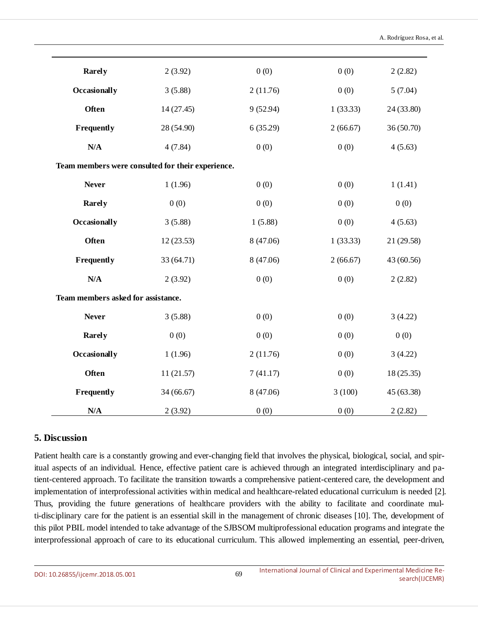A. Rodr guez Rosa, et al.

| Rarely                                            | 2(3.92)    | 0(0)      | 0(0)     | 2(2.82)    |  |  |  |  |  |  |
|---------------------------------------------------|------------|-----------|----------|------------|--|--|--|--|--|--|
| <b>Occasionally</b>                               | 3(5.88)    | 2(11.76)  | 0(0)     | 5(7.04)    |  |  |  |  |  |  |
| Often                                             | 14 (27.45) | 9(52.94)  | 1(33.33) | 24 (33.80) |  |  |  |  |  |  |
| Frequently                                        | 28 (54.90) | 6(35.29)  | 2(66.67) | 36 (50.70) |  |  |  |  |  |  |
| N/A                                               | 4(7.84)    | 0(0)      | 0(0)     | 4(5.63)    |  |  |  |  |  |  |
| Team members were consulted for their experience. |            |           |          |            |  |  |  |  |  |  |
| <b>Never</b>                                      | 1(1.96)    | 0(0)      | 0(0)     | 1(1.41)    |  |  |  |  |  |  |
| Rarely                                            | 0(0)       | 0(0)      | 0(0)     | 0(0)       |  |  |  |  |  |  |
| <b>Occasionally</b>                               | 3(5.88)    | 1(5.88)   | 0(0)     | 4(5.63)    |  |  |  |  |  |  |
| Often                                             | 12(23.53)  | 8 (47.06) | 1(33.33) | 21 (29.58) |  |  |  |  |  |  |
| <b>Frequently</b>                                 | 33 (64.71) | 8 (47.06) | 2(66.67) | 43 (60.56) |  |  |  |  |  |  |
| N/A                                               | 2(3.92)    | 0(0)      | 0(0)     | 2(2.82)    |  |  |  |  |  |  |
| Team members asked for assistance.                |            |           |          |            |  |  |  |  |  |  |
| <b>Never</b>                                      | 3(5.88)    | 0(0)      | 0(0)     | 3(4.22)    |  |  |  |  |  |  |
| Rarely                                            | 0(0)       | 0(0)      | 0(0)     | 0(0)       |  |  |  |  |  |  |
| <b>Occasionally</b>                               | 1(1.96)    | 2(11.76)  | 0(0)     | 3(4.22)    |  |  |  |  |  |  |
| Often                                             | 11(21.57)  | 7(41.17)  | 0(0)     | 18 (25.35) |  |  |  |  |  |  |
| <b>Frequently</b>                                 | 34 (66.67) | 8 (47.06) | 3(100)   | 45 (63.38) |  |  |  |  |  |  |
| N/A                                               | 2(3.92)    | 0(0)      | 0(0)     | 2(2.82)    |  |  |  |  |  |  |

## **5. Discussion**

Patient health care is a constantly growing and ever-changing field that involves the physical, biological, social, and spiritual aspects of an individual. Hence, effective patient care is achieved through an integrated interdisciplinary and patient-centered approach. To facilitate the transition towards a comprehensive patient-centered care, the development and implementation of interprofessional activities within medical and healthcare-related educational curriculum is needed [2]. Thus, providing the future generations of healthcare providers with the ability to facilitate and coordinate multi-disciplinary care for the patient is an essential skill in the management of chronic diseases [10]. The, development of this pilot PBIL model intended to take advantage of the SJBSOM multiprofessional education programs and integrate the interprofessional approach of care to its educational curriculum. This allowed implementing an essential, peer-driven,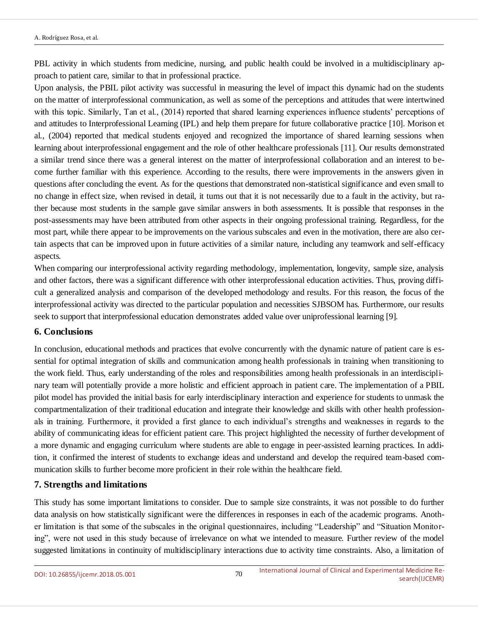PBL activity in which students from medicine, nursing, and public health could be involved in a multidisciplinary approach to patient care, similar to that in professional practice.

Upon analysis, the PBIL pilot activity was successful in measuring the level of impact this dynamic had on the students on the matter of interprofessional communication, as well as some of the perceptions and attitudes that were intertwined with this topic. Similarly, Tan et al., (2014) reported that shared learning experiences influence students' perceptions of and attitudes to Interprofessional Learning (IPL) and help them prepare for future collaborative practice [10]. Morison et al., (2004) reported that medical students enjoyed and recognized the importance of shared learning sessions when learning about interprofessional engagement and the role of other healthcare professionals [11]. Our results demonstrated a similar trend since there was a general interest on the matter of interprofessional collaboration and an interest to become further familiar with this experience. According to the results, there were improvements in the answers given in questions after concluding the event. As for the questions that demonstrated non-statistical significance and even small to no change in effect size, when revised in detail, it turns out that it is not necessarily due to a fault in the activity, but rather because most students in the sample gave similar answers in both assessments. It is possible that responses in the post-assessments may have been attributed from other aspects in their ongoing professional training. Regardless, for the most part, while there appear to be improvements on the various subscales and even in the motivation, there are also certain aspects that can be improved upon in future activities of a similar nature, including any teamwork and self-efficacy aspects.

When comparing our interprofessional activity regarding methodology, implementation, longevity, sample size, analysis and other factors, there was a significant difference with other interprofessional education activities. Thus, proving difficult a generalized analysis and comparison of the developed methodology and results. For this reason, the focus of the interprofessional activity was directed to the particular population and necessities SJBSOM has. Furthermore, our results seek to support that interprofessional education demonstrates added value over uniprofessional learning [9].

#### **6. Conclusions**

In conclusion, educational methods and practices that evolve concurrently with the dynamic nature of patient care is essential for optimal integration of skills and communication among health professionals in training when transitioning to the work field. Thus, early understanding of the roles and responsibilities among health professionals in an interdisciplinary team will potentially provide a more holistic and efficient approach in patient care. The implementation of a PBIL pilot model has provided the initial basis for early interdisciplinary interaction and experience for students to unmask the compartmentalization of their traditional education and integrate their knowledge and skills with other health professionals in training. Furthermore, it provided a first glance to each individual's strengths and weaknesses in regards to the ability of communicating ideas for efficient patient care. This project highlighted the necessity of further development of a more dynamic and engaging curriculum where students are able to engage in peer-assisted learning practices. In addition, it confirmed the interest of students to exchange ideas and understand and develop the required team-based communication skills to further become more proficient in their role within the healthcare field.

#### **7. Strengths and limitations**

This study has some important limitations to consider. Due to sample size constraints, it was not possible to do further data analysis on how statistically significant were the differences in responses in each of the academic programs. Another limitation is that some of the subscales in the original questionnaires, including "Leadership" and "Situation Monitoring", were not used in this study because of irrelevance on what we intended to measure. Further review of the model suggested limitations in continuity of multidisciplinary interactions due to activity time constraints. Also, a limitation of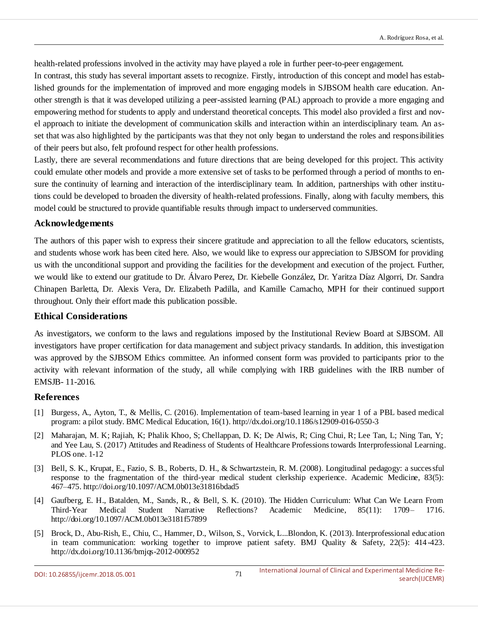health-related professions involved in the activity may have played a role in further peer-to-peer engagement.

In contrast, this study has several important assets to recognize. Firstly, introduction of this concept and model has established grounds for the implementation of improved and more engaging models in SJBSOM health care education. Another strength is that it was developed utilizing a peer-assisted learning (PAL) approach to provide a more engaging and empowering method for students to apply and understand theoretical concepts. This model also provided a first and novel approach to initiate the development of communication skills and interaction within an interdisciplinary team. An asset that was also highlighted by the participants was that they not only began to understand the roles and responsibilities of their peers but also, felt profound respect for other health professions.

Lastly, there are several recommendations and future directions that are being developed for this project. This activity could emulate other models and provide a more extensive set of tasks to be performed through a period of months to ensure the continuity of learning and interaction of the interdisciplinary team. In addition, partnerships with other institutions could be developed to broaden the diversity of health-related professions. Finally, along with faculty members, this model could be structured to provide quantifiable results through impact to underserved communities.

#### **Acknowledgements**

The authors of this paper wish to express their sincere gratitude and appreciation to all the fellow educators, scientists, and students whose work has been cited here. Also, we would like to express our appreciation to SJBSOM for providing us with the unconditional support and providing the facilities for the development and execution of the project. Further, we would like to extend our gratitude to Dr. Álvaro Perez, Dr. Kiebelle González, Dr. Yaritza Dáz Algorri, Dr. Sandra Chinapen Barletta, Dr. Alexis Vera, Dr. Elizabeth Padilla, and Kamille Camacho, MPH for their continued support throughout. Only their effort made this publication possible.

#### **Ethical Considerations**

As investigators, we conform to the laws and regulations imposed by the Institutional Review Board at SJBSOM. All investigators have proper certification for data management and subject privacy standards. In addition, this investigation was approved by the SJBSOM Ethics committee. An informed consent form was provided to participants prior to the activity with relevant information of the study, all while complying with IRB guidelines with the IRB number of EMSJB- 11-2016.

#### **References**

- [1] Burgess, A., Ayton, T., & Mellis, C. (2016). Implementation of team-based learning in year 1 of a PBL based medical program: a pilot study. BMC Medical Education, 16(1). http://dx.doi.org/10.1186/s12909-016-0550-3
- [2] Maharajan, M. K; Rajiah, K; Phalik Khoo, S; Chellappan, D. K; De Alwis, R; Cing Chui, R; Lee Tan, L; Ning Tan, Y; and Yee Lau, S. (2017) Attitudes and Readiness of Students of Healthcare Professions towards Interprofessional Learning. PLOS one. 1-12
- [3] Bell, S. K., Krupat, E., Fazio, S. B., Roberts, D. H., & Schwartzstein, R. M. (2008). Longitudinal pedagogy: a successful response to the fragmentation of the third-year medical student clerkship experience. Academic Medicine, 83(5): 467–475. http://doi.org/10.1097/ACM.0b013e31816bdad5
- [4] Gaufberg, E. H., Batalden, M., Sands, R., & Bell, S. K. (2010). The Hidden Curriculum: What Can We Learn From Third-Year Medical Student Narrative Reflections? Academic Medicine, 85(11): 1709– 1716. http://doi.org/10.1097/ACM.0b013e3181f57899
- [5] Brock, D., Abu-Rish, E., Chiu, C., Hammer, D., Wilson, S., Vorvick, L...Blondon, K. (2013). Interprofessional education in team communication: working together to improve patient safety. BMJ Quality & Safety, 22(5): 414-423. http://dx.doi.org/10.1136/bmjqs-2012-000952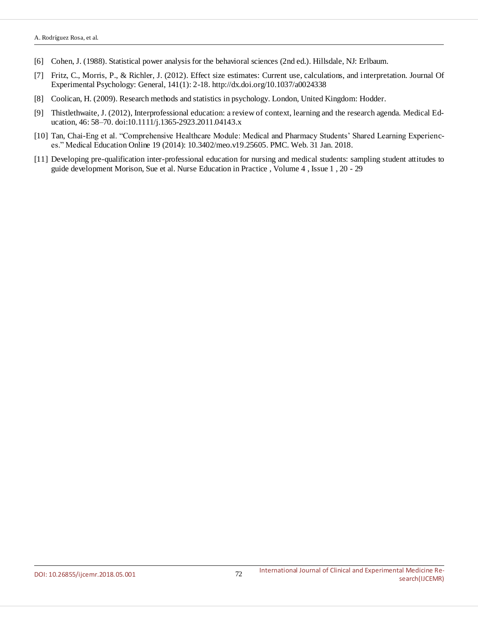- [6] Cohen, J. (1988). Statistical power analysis for the behavioral sciences (2nd ed.). Hillsdale, NJ: Erlbaum.
- [7] Fritz, C., Morris, P., & Richler, J. (2012). Effect size estimates: Current use, calculations, and interpretation. Journal Of Experimental Psychology: General, 141(1): 2-18. http://dx.doi.org/10.1037/a0024338
- [8] Coolican, H. (2009). Research methods and statistics in psychology. London, United Kingdom: Hodder.
- [9] Thistlethwaite, J. (2012), Interprofessional education: a review of context, learning and the research agenda. Medical Education, 46: 58–70. doi:10.1111/j.1365-2923.2011.04143.x
- [10] Tan, Chai-Eng et al. "Comprehensive Healthcare Module: Medical and Pharmacy Students' Shared Learning Experiences." Medical Education Online 19 (2014): 10.3402/meo.v19.25605. PMC. Web. 31 Jan. 2018.
- [11] Developing pre-qualification inter-professional education for nursing and medical students: sampling student attitudes to guide development Morison, Sue et al. Nurse Education in Practice , Volume 4 , Issue 1 , 20 - 29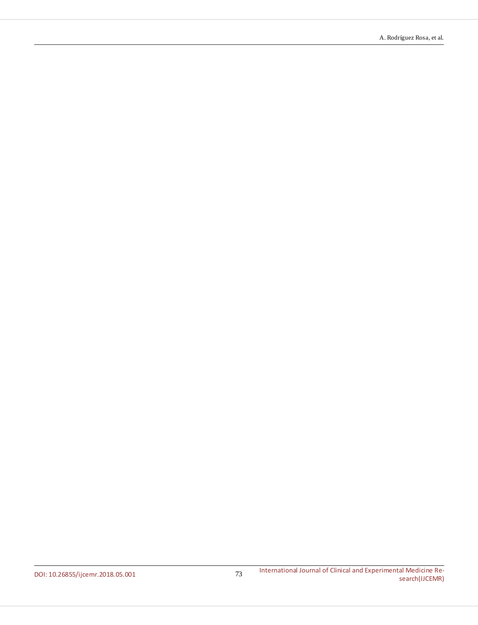A. Rodr guez Rosa, et al.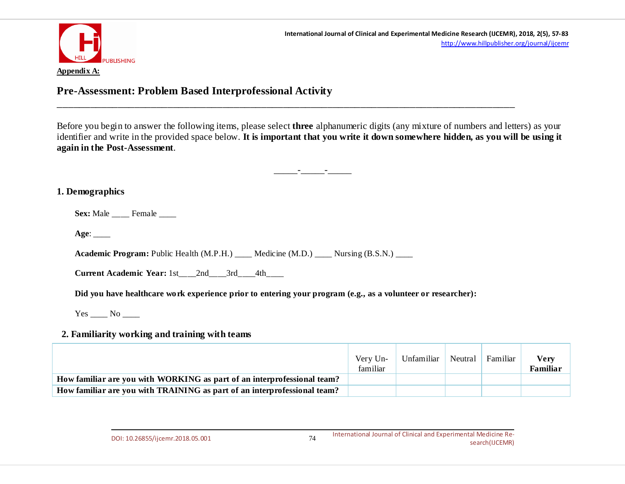

# **Pre-Assessment: Problem Based Interprofessional Activity**

Before you begin to answer the following items, please select **three** alphanumeric digits (any mixture of numbers and letters) as your identifier and write in the provided space below. **It is important that you write it down somewhere hidden, as you will be using it again in the Post-Assessment**.

 $\_$   $\_$   $\_$   $\_$   $\_$   $\_$   $\_$   $\_$ 

\_\_\_\_\_\_\_\_\_\_\_\_\_\_\_\_\_\_\_\_\_\_\_\_\_\_\_\_\_\_\_\_\_\_\_\_\_\_\_\_\_\_\_\_\_\_\_\_\_\_\_\_\_\_\_\_\_\_\_\_\_\_\_\_\_\_\_\_\_\_\_\_\_\_\_\_\_\_\_\_\_\_\_

#### **1. Demographics**

**Sex:** Male Female

 **Age**: \_\_\_\_

**Academic Program:** Public Health (M.P.H.) \_\_\_\_\_ Medicine (M.D.) \_\_\_\_\_ Nursing (B.S.N.) \_\_\_\_

**Current Academic Year:** 1st 2nd 3rd 4th

 **Did you have healthcare work experience prior to entering your program (e.g., as a volunteer or researcher):** 

Yes No

#### **2. Familiarity working and training with teams**

|                                                                          | Very Un-<br>familiar | Unfamiliar | Neutral | Familiar | <b>Verv</b><br>Familiar |
|--------------------------------------------------------------------------|----------------------|------------|---------|----------|-------------------------|
| How familiar are you with WORKING as part of an interprofessional team?  |                      |            |         |          |                         |
| How familiar are you with TRAINING as part of an interprofessional team? |                      |            |         |          |                         |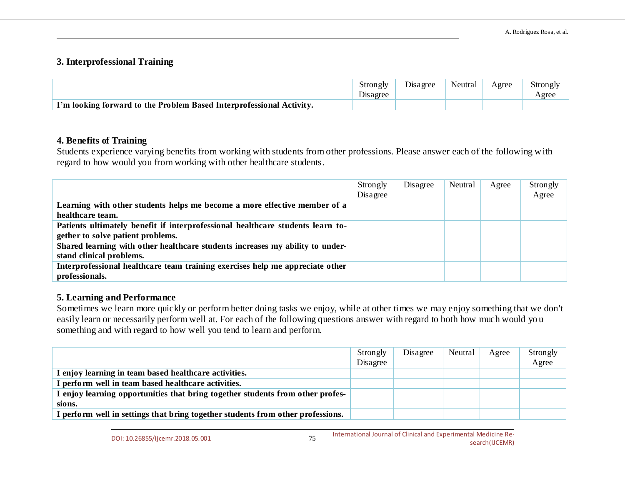## **3. Interprofessional Training**

|                                                                      | Strongly<br>Disagree | Disagree | Neutral | Agree | Strongly<br>Agree |
|----------------------------------------------------------------------|----------------------|----------|---------|-------|-------------------|
| I'm looking forward to the Problem Based Interprofessional Activity. |                      |          |         |       |                   |

#### **4. Benefits of Training**

Students experience varying benefits from working with students from other professions. Please answer each of the following with regard to how would you from working with other healthcare students.

|                                                                                | Strongly<br>Disagree | Disagree | Neutral | Agree | Strongly<br>Agree |
|--------------------------------------------------------------------------------|----------------------|----------|---------|-------|-------------------|
| Learning with other students helps me become a more effective member of a      |                      |          |         |       |                   |
| healthcare team.                                                               |                      |          |         |       |                   |
| Patients ultimately benefit if interprofessional healthcare students learn to- |                      |          |         |       |                   |
| gether to solve patient problems.                                              |                      |          |         |       |                   |
| Shared learning with other healthcare students increases my ability to under-  |                      |          |         |       |                   |
| stand clinical problems.                                                       |                      |          |         |       |                   |
| Interprofessional healthcare team training exercises help me appreciate other  |                      |          |         |       |                   |
| professionals.                                                                 |                      |          |         |       |                   |

## **5. Learning and Performance**

Sometimes we learn more quickly or perform better doing tasks we enjoy, while at other times we may enjoy something that we don't easily learn or necessarily perform well at. For each of the following questions answer with regard to both how much would yo u something and with regard to how well you tend to learn and perform.

|                                                                                 | Strongly<br>Disagree | Disagree | Neutral | Agree | Strongly<br>Agree |
|---------------------------------------------------------------------------------|----------------------|----------|---------|-------|-------------------|
| I enjoy learning in team based healthcare activities.                           |                      |          |         |       |                   |
| I perform well in team based healthcare activities.                             |                      |          |         |       |                   |
| I enjoy learning opportunities that bring together students from other profes-  |                      |          |         |       |                   |
| sions.                                                                          |                      |          |         |       |                   |
| I perform well in settings that bring together students from other professions. |                      |          |         |       |                   |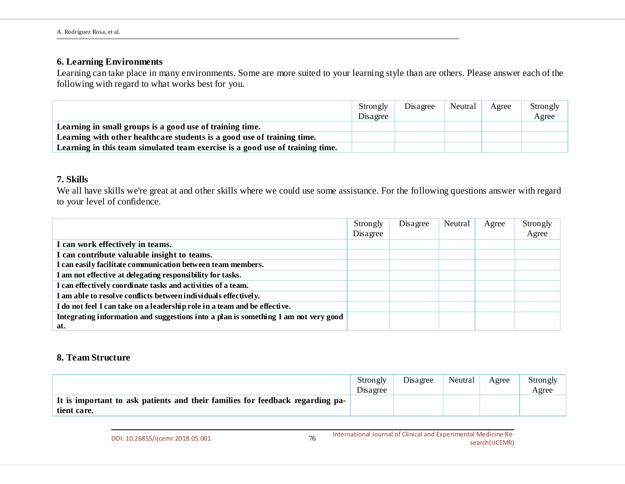#### **6. Learning Environments**

Learning can take place in many environments. Some are more suited to your learning style than are others. Please answer each of the following with regard to what works best for you.

|                                                                               | Strongly<br>Disagree | Disagree | Neutral | Agree | Strongly<br>Agree |
|-------------------------------------------------------------------------------|----------------------|----------|---------|-------|-------------------|
| Learning in small groups is a good use of training time.                      |                      |          |         |       |                   |
| Learning with other healthcare students is a good use of training time.       |                      |          |         |       |                   |
| Learning in this team simulated team exercise is a good use of training time. |                      |          |         |       |                   |

## **7. Skills**

We all have skills we're great at and other skills where we could use some assistance. For the following questions answer with regard to your level of confidence.

|                                                                                     | Strongly | Disagree | Neutral | Agree | Strongly |
|-------------------------------------------------------------------------------------|----------|----------|---------|-------|----------|
|                                                                                     | Disagree |          |         |       | Agree    |
| I can work effectively in teams.                                                    |          |          |         |       |          |
| I can contribute valuable insight to teams.                                         |          |          |         |       |          |
| I can easily facilitate communication between team members.                         |          |          |         |       |          |
| I am not effective at delegating responsibility for tasks.                          |          |          |         |       |          |
| I can effectively coordinate tasks and activities of a team.                        |          |          |         |       |          |
| I am able to resolve conflicts between individuals effectively.                     |          |          |         |       |          |
| I do not feel I can take on a leadership role in a team and be effective.           |          |          |         |       |          |
| Integrating information and suggestions into a plan is something I am not very good |          |          |         |       |          |
| at.                                                                                 |          |          |         |       |          |

### **8. Team Structure**

|                                                                               | Strongly<br>Disagree | Disagree | Neutral | Agree | Strongly<br>Agree |
|-------------------------------------------------------------------------------|----------------------|----------|---------|-------|-------------------|
| It is important to ask patients and their families for feedback regarding pa- |                      |          |         |       |                   |
| tient care.                                                                   |                      |          |         |       |                   |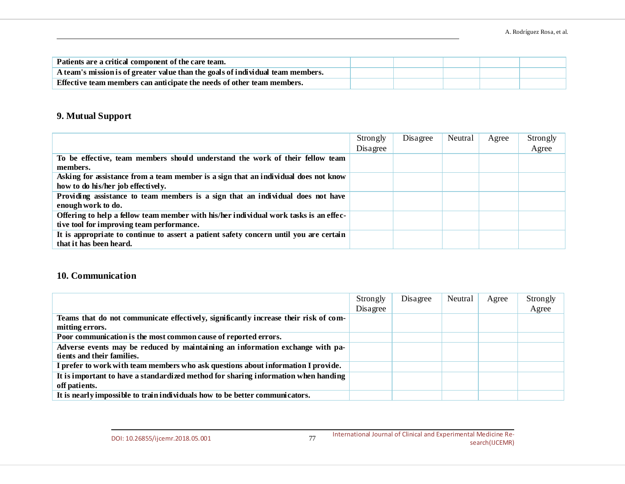| Patients are a critical component of the care team.                             |  |  |  |
|---------------------------------------------------------------------------------|--|--|--|
| A team's mission is of greater value than the goals of individual team members. |  |  |  |
| Effective team members can anticipate the needs of other team members.          |  |  |  |

# **9. Mutual Support**

|                                                                                                                   | Strongly | Disagree | Neutral | Agree | Strongly |
|-------------------------------------------------------------------------------------------------------------------|----------|----------|---------|-------|----------|
|                                                                                                                   | Disagree |          |         |       | Agree    |
| To be effective, team members should understand the work of their fellow team                                     |          |          |         |       |          |
| members.                                                                                                          |          |          |         |       |          |
| Asking for assistance from a team member is a sign that an individual does not know                               |          |          |         |       |          |
| how to do his/her job effectively.                                                                                |          |          |         |       |          |
| Providing assistance to team members is a sign that an individual does not have<br>enough work to do.             |          |          |         |       |          |
| Offering to help a fellow team member with his/her individual work tasks is an effec-                             |          |          |         |       |          |
| tive tool for improving team performance.                                                                         |          |          |         |       |          |
| It is appropriate to continue to assert a patient safety concern until you are certain<br>that it has been heard. |          |          |         |       |          |

## **10. Communication**

|                                                                                      | Strongly<br>Disagree | Disagree | Neutral | Agree | Strongly<br>Agree |
|--------------------------------------------------------------------------------------|----------------------|----------|---------|-------|-------------------|
| Teams that do not communicate effectively, significantly increase their risk of com- |                      |          |         |       |                   |
| mitting errors.                                                                      |                      |          |         |       |                   |
| Poor communication is the most common cause of reported errors.                      |                      |          |         |       |                   |
| Adverse events may be reduced by maintaining an information exchange with pa-        |                      |          |         |       |                   |
| tients and their families.                                                           |                      |          |         |       |                   |
| I prefer to work with team members who ask questions about information I provide.    |                      |          |         |       |                   |
| It is important to have a standardized method for sharing information when handing   |                      |          |         |       |                   |
| off patients.                                                                        |                      |          |         |       |                   |
| It is nearly impossible to train individuals how to be better communicators.         |                      |          |         |       |                   |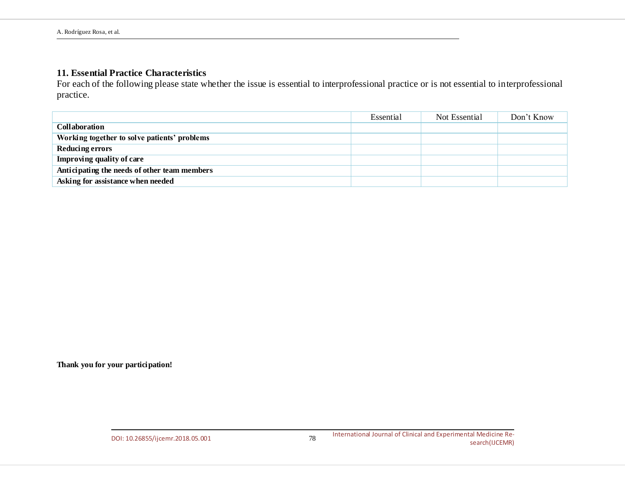## **11. Essential Practice Characteristics**

For each of the following please state whether the issue is essential to interprofessional practice or is not essential to interprofessional practice.

|                                              | Essential | Not Essential | Don't Know |
|----------------------------------------------|-----------|---------------|------------|
| <b>Collaboration</b>                         |           |               |            |
| Working together to solve patients' problems |           |               |            |
| <b>Reducing errors</b>                       |           |               |            |
| <b>Improving quality of care</b>             |           |               |            |
| Anticipating the needs of other team members |           |               |            |
| Asking for assistance when needed            |           |               |            |

**Thank you for your participation!**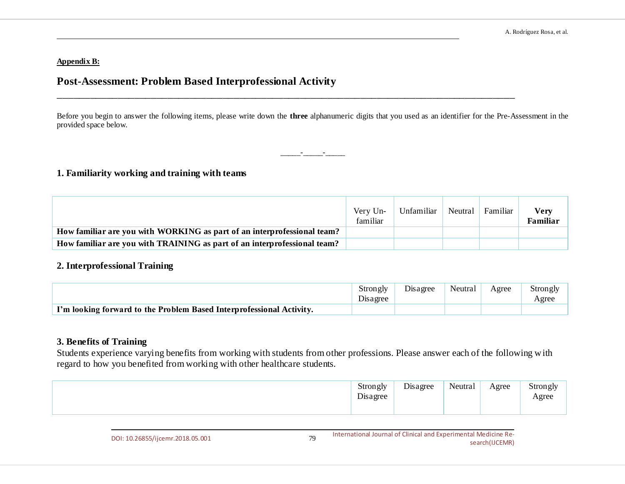#### **Appendix B:**

# **Post-Assessment: Problem Based Interprofessional Activity**

Before you begin to answer the following items, please write down the **three** alphanumeric digits that you used as an identifier for the Pre-Assessment in the provided space below.

\_\_\_\_\_\_\_\_\_\_\_\_\_\_\_\_\_\_\_\_\_\_\_\_\_\_\_\_\_\_\_\_\_\_\_\_\_\_\_\_\_\_\_\_\_\_\_\_\_\_\_\_\_\_\_\_\_\_\_\_\_\_\_\_\_\_\_\_\_\_\_\_\_\_\_\_\_\_\_\_\_\_\_

\_\_\_\_\_-\_\_\_\_\_-\_\_\_\_\_

## **1. Familiarity working and training with teams**

|                                                                          | Very Un-<br>familiar | Unfamiliar | Neutral | Familiar | <b>Very</b><br>Familiar |
|--------------------------------------------------------------------------|----------------------|------------|---------|----------|-------------------------|
| How familiar are you with WORKING as part of an interprofessional team?  |                      |            |         |          |                         |
| How familiar are you with TRAINING as part of an interprofessional team? |                      |            |         |          |                         |

#### **2. Interprofessional Training**

|                                                                      | Strongly<br>Disagree | Disagree | Neutral | Agree | strongly<br>Agree |
|----------------------------------------------------------------------|----------------------|----------|---------|-------|-------------------|
| I'm looking forward to the Problem Based Interprofessional Activity. |                      |          |         |       |                   |

## **3. Benefits of Training**

Students experience varying benefits from working with students from other professions. Please answer each of the following with regard to how you benefited from working with other healthcare students.

| $\sim$<br>Strongly<br>Disagree | Disagree<br>ັ | Neutral | Agree | Strongly<br>Agree |
|--------------------------------|---------------|---------|-------|-------------------|
|                                |               |         |       |                   |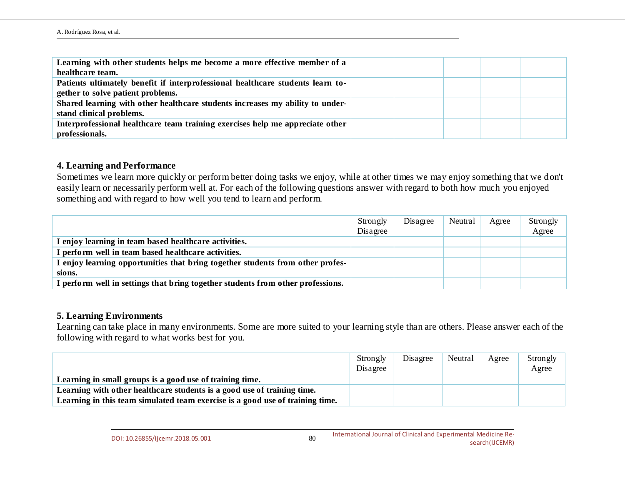| Learning with other students helps me become a more effective member of a<br>healthcare team.                       |  |  |
|---------------------------------------------------------------------------------------------------------------------|--|--|
| Patients ultimately benefit if interprofessional healthcare students learn to-<br>gether to solve patient problems. |  |  |
| Shared learning with other healthcare students increases my ability to under-<br>stand clinical problems.           |  |  |
| Interprofessional healthcare team training exercises help me appreciate other<br>professionals.                     |  |  |

#### **4. Learning and Performance**

Sometimes we learn more quickly or perform better doing tasks we enjoy, while at other times we may enjoy something that we don't easily learn or necessarily perform well at. For each of the following questions answer with regard to both how much you enjoyed something and with regard to how well you tend to learn and perform.

|                                                                                 | Strongly | Disagree | Neutral | Agree | Strongly |
|---------------------------------------------------------------------------------|----------|----------|---------|-------|----------|
|                                                                                 | Disagree |          |         |       | Agree    |
| I enjoy learning in team based healthcare activities.                           |          |          |         |       |          |
| I perform well in team based healthcare activities.                             |          |          |         |       |          |
| I enjoy learning opportunities that bring together students from other profes-  |          |          |         |       |          |
| sions.                                                                          |          |          |         |       |          |
| I perform well in settings that bring together students from other professions. |          |          |         |       |          |

### **5. Learning Environments**

Learning can take place in many environments. Some are more suited to your learning style than are others. Please answer each of the following with regard to what works best for you.

|                                                                               | Strongly<br>Disagree | Disagree | Neutral | Agree | Strongly<br>Agree |
|-------------------------------------------------------------------------------|----------------------|----------|---------|-------|-------------------|
| Learning in small groups is a good use of training time.                      |                      |          |         |       |                   |
| Learning with other healthcare students is a good use of training time.       |                      |          |         |       |                   |
| Learning in this team simulated team exercise is a good use of training time. |                      |          |         |       |                   |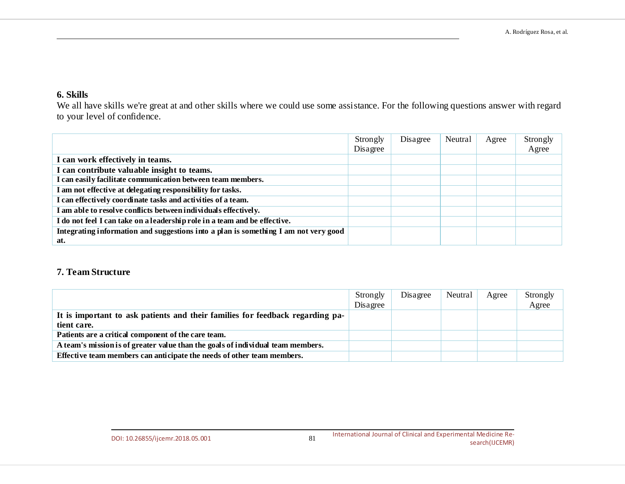## **6. Skills**

We all have skills we're great at and other skills where we could use some assistance. For the following questions answer with regard to your level of confidence.

|                                                                                            | Strongly<br>Disagree | Disagree | Neutral | Agree | Strongly<br>Agree |
|--------------------------------------------------------------------------------------------|----------------------|----------|---------|-------|-------------------|
| I can work effectively in teams.                                                           |                      |          |         |       |                   |
| I can contribute valuable insight to teams.                                                |                      |          |         |       |                   |
| I can easily facilitate communication between team members.                                |                      |          |         |       |                   |
| I am not effective at delegating responsibility for tasks.                                 |                      |          |         |       |                   |
| I can effectively coordinate tasks and activities of a team.                               |                      |          |         |       |                   |
| I am able to resolve conflicts between individuals effectively.                            |                      |          |         |       |                   |
| I do not feel I can take on a leadership role in a team and be effective.                  |                      |          |         |       |                   |
| Integrating information and suggestions into a plan is something I am not very good<br>at. |                      |          |         |       |                   |

## **7. Team Structure**

|                                                                                 | Strongly<br>Disagree | Disagree | Neutral | Agree | Strongly<br>Agree |
|---------------------------------------------------------------------------------|----------------------|----------|---------|-------|-------------------|
| It is important to ask patients and their families for feedback regarding pa-   |                      |          |         |       |                   |
| tient care.                                                                     |                      |          |         |       |                   |
| Patients are a critical component of the care team.                             |                      |          |         |       |                   |
| A team's mission is of greater value than the goals of individual team members. |                      |          |         |       |                   |
| Effective team members can anticipate the needs of other team members.          |                      |          |         |       |                   |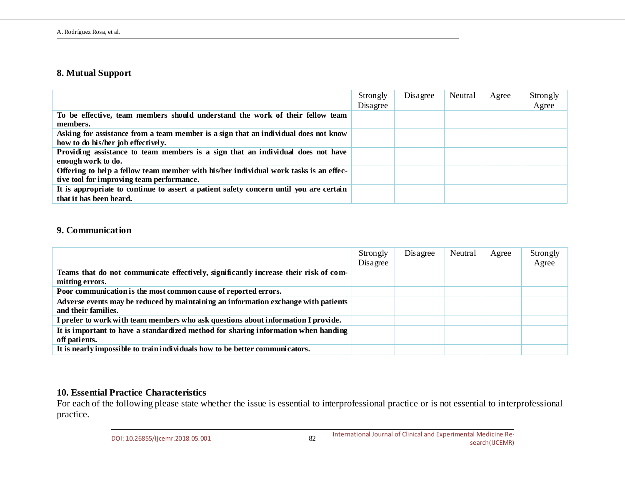## **8. Mutual Support**

|                                                                                                                                    | Strongly<br>Disagree | Disagree | Neutral | Agree | Strongly<br>Agree |
|------------------------------------------------------------------------------------------------------------------------------------|----------------------|----------|---------|-------|-------------------|
| To be effective, team members should understand the work of their fellow team<br>members.                                          |                      |          |         |       |                   |
| Asking for assistance from a team member is a sign that an individual does not know<br>how to do his/her job effectively.          |                      |          |         |       |                   |
| Providing assistance to team members is a sign that an individual does not have<br>enough work to do.                              |                      |          |         |       |                   |
| Offering to help a fellow team member with his/her individual work tasks is an effec-<br>tive tool for improving team performance. |                      |          |         |       |                   |
| It is appropriate to continue to assert a patient safety concern until you are certain<br>that it has been heard.                  |                      |          |         |       |                   |

## **9. Communication**

|                                                                                                           | Strongly<br>Disagree | Disagree | Neutral | Agree | Strongly<br>Agree |
|-----------------------------------------------------------------------------------------------------------|----------------------|----------|---------|-------|-------------------|
| Teams that do not communicate effectively, significantly increase their risk of com-                      |                      |          |         |       |                   |
| mitting errors.                                                                                           |                      |          |         |       |                   |
| Poor communication is the most common cause of reported errors.                                           |                      |          |         |       |                   |
| Adverse events may be reduced by maintaining an information exchange with patients<br>and their families. |                      |          |         |       |                   |
| I prefer to work with team members who ask questions about information I provide.                         |                      |          |         |       |                   |
| It is important to have a standardized method for sharing information when handing<br>off patients.       |                      |          |         |       |                   |
| It is nearly impossible to train individuals how to be better communicators.                              |                      |          |         |       |                   |

## **10. Essential Practice Characteristics**

For each of the following please state whether the issue is essential to interprofessional practice or is not essential to interprofessional practice.